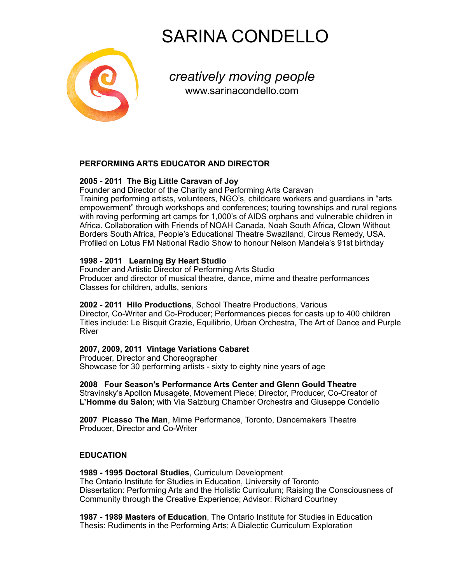# SARINA CONDELLO



*creatively moving people* [www.sarinacondello.com](http://www.sarinacondello.com)

# **PERFORMING ARTS EDUCATOR AND DIRECTOR**

# **2005 - 2011 The Big Little Caravan of Joy**

Founder and Director of the Charity and Performing Arts Caravan Training performing artists, volunteers, NGO's, childcare workers and guardians in "arts empowerment" through workshops and conferences; touring townships and rural regions with roving performing art camps for 1,000's of AIDS orphans and vulnerable children in Africa. Collaboration with Friends of NOAH Canada, Noah South Africa, Clown Without Borders South Africa, People's Educational Theatre Swaziland, Circus Remedy, USA. Profiled on Lotus FM National Radio Show to honour Nelson Mandela's 91st birthday

## **1998 - 2011 Learning By Heart Studio**

Founder and Artistic Director of Performing Arts Studio Producer and director of musical theatre, dance, mime and theatre performances Classes for children, adults, seniors

## **2002 - 2011 Hilo Productions**, School Theatre Productions, Various

Director, Co-Writer and Co-Producer; Performances pieces for casts up to 400 children Titles include: Le Bisquit Crazie, Equilibrio, Urban Orchestra, The Art of Dance and Purple River

## **2007, 2009, 2011 Vintage Variations Cabaret**

Producer, Director and Choreographer Showcase for 30 performing artists - sixty to eighty nine years of age

**2008 Four Season's Performance Arts Center and Glenn Gould Theatre**  Stravinsky's Apollon Musagète, Movement Piece; Director, Producer, Co-Creator of **L'Homme du Salon**; with Via Salzburg Chamber Orchestra and Giuseppe Condello

**2007 Picasso The Man**, Mime Performance, Toronto, Dancemakers Theatre Producer, Director and Co-Writer

## **EDUCATION**

**1989 - 1995 Doctoral Studies**, Curriculum Development The Ontario Institute for Studies in Education, University of Toronto Dissertation: Performing Arts and the Holistic Curriculum; Raising the Consciousness of Community through the Creative Experience; Advisor: Richard Courtney

**1987 - 1989 Masters of Education**, The Ontario Institute for Studies in Education Thesis: Rudiments in the Performing Arts; A Dialectic Curriculum Exploration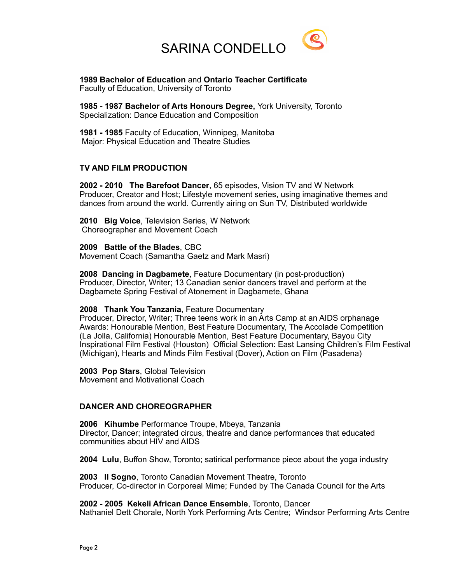

**1989 Bachelor of Education** and **Ontario Teacher Certificate**  Faculty of Education, University of Toronto

**1985 - 1987 Bachelor of Arts Honours Degree,** York University, Toronto Specialization: Dance Education and Composition

**1981 - 1985** Faculty of Education, Winnipeg, Manitoba Major: Physical Education and Theatre Studies

### **TV AND FILM PRODUCTION**

**2002 - 2010 The Barefoot Dancer**, 65 episodes, Vision TV and W Network Producer, Creator and Host; Lifestyle movement series, using imaginative themes and dances from around the world. Currently airing on Sun TV, Distributed worldwide

**2010 Big Voice**, Television Series, W Network Choreographer and Movement Coach

**2009 Battle of the Blades**, CBC Movement Coach (Samantha Gaetz and Mark Masri)

**2008 Dancing in Dagbamete**, Feature Documentary (in post-production) Producer, Director, Writer; 13 Canadian senior dancers travel and perform at the Dagbamete Spring Festival of Atonement in Dagbamete, Ghana

### **2008 Thank You Tanzania**, Feature Documentary

Producer, Director, Writer; Three teens work in an Arts Camp at an AIDS orphanage Awards: Honourable Mention, Best Feature Documentary, The Accolade Competition (La Jolla, California) Honourable Mention, Best Feature Documentary, Bayou City Inspirational Film Festival (Houston) Official Selection: East Lansing Children's Film Festival (Michigan), Hearts and Minds Film Festival (Dover), Action on Film (Pasadena)

**2003 Pop Stars**, Global Television Movement and Motivational Coach

### **DANCER AND CHOREOGRAPHER**

**2006 Kihumbe** Performance Troupe, Mbeya, Tanzania Director, Dancer; integrated circus, theatre and dance performances that educated communities about HIV and AIDS

**2004 Lulu**, Buffon Show, Toronto; satirical performance piece about the yoga industry

**2003 Il Sogno**, Toronto Canadian Movement Theatre, Toronto Producer, Co-director in Corporeal Mime; Funded by The Canada Council for the Arts

**2002 - 2005 Kekeli African Dance Ensemble**, Toronto, Dancer Nathaniel Dett Chorale, North York Performing Arts Centre; Windsor Performing Arts Centre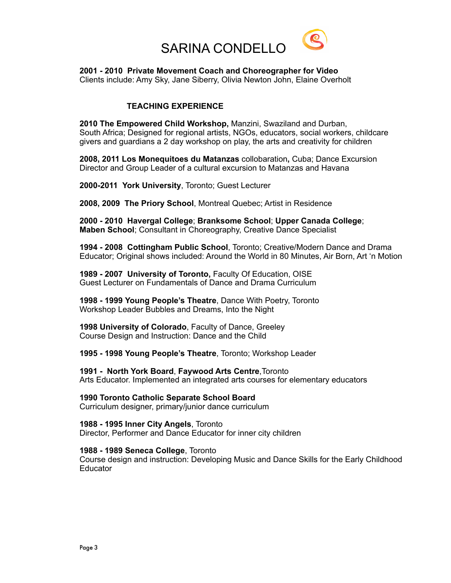

**2001 - 2010 Private Movement Coach and Choreographer for Video** Clients include: Amy Sky, Jane Siberry, Olivia Newton John, Elaine Overholt

## **TEACHING EXPERIENCE**

**2010 The Empowered Child Workshop,** Manzini, Swaziland and Durban, South Africa; Designed for regional artists, NGOs, educators, social workers, childcare givers and guardians a 2 day workshop on play, the arts and creativity for children

**2008, 2011 Los Monequitoes du Matanzas** collobaration**,** Cuba; Dance Excursion Director and Group Leader of a cultural excursion to Matanzas and Havana

**2000-2011 York University**, Toronto; Guest Lecturer

**2008, 2009 The Priory School**, Montreal Quebec; Artist in Residence

**2000 - 2010 Havergal College**; **Branksome School**; **Upper Canada College**; **Maben School**; Consultant in Choreography, Creative Dance Specialist

**1994 - 2008 Cottingham Public School**, Toronto; Creative/Modern Dance and Drama Educator; Original shows included: Around the World in 80 Minutes, Air Born, Art 'n Motion

**1989 - 2007 University of Toronto,** Faculty Of Education, OISE Guest Lecturer on Fundamentals of Dance and Drama Curriculum

**1998 - 1999 Young People's Theatre**, Dance With Poetry, Toronto Workshop Leader Bubbles and Dreams, Into the Night

**1998 University of Colorado**, Faculty of Dance, Greeley Course Design and Instruction: Dance and the Child

**1995 - 1998 Young People's Theatre**, Toronto; Workshop Leader

**1991 - North York Board**, **Faywood Arts Centre**,Toronto Arts Educator. Implemented an integrated arts courses for elementary educators

**1990 Toronto Catholic Separate School Board**  Curriculum designer, primary/junior dance curriculum

**1988 - 1995 Inner City Angels**, Toronto Director, Performer and Dance Educator for inner city children

**1988 - 1989 Seneca College**, Toronto

Course design and instruction: Developing Music and Dance Skills for the Early Childhood Educator